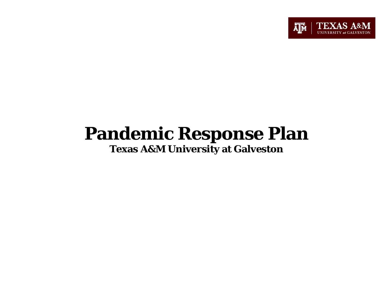

# **Pandemic Response Plan Texas A&M University at Galveston**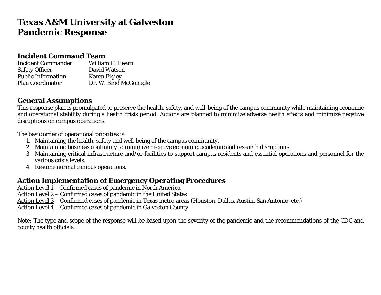## **Texas A&M University at Galveston Pandemic Response**

#### **Incident Command Team**

| <b>Incident Commander</b> | William C. Hearn      |
|---------------------------|-----------------------|
| <b>Safety Officer</b>     | David Watson          |
| <b>Public Information</b> | <b>Karen Bigley</b>   |
| <b>Plan Coordinator</b>   | Dr. W. Brad McGonagle |

#### **General Assumptions**

This response plan is promulgated to preserve the health, safety, and well-being of the campus community while maintaining economic and operational stability during a health crisis period. Actions are planned to minimize adverse health effects and minimize negative disruptions on campus operations.

The basic order of operational priorities is:

- 1. Maintaining the health, safety and well-being of the campus community.
- 2. Maintaining business continuity to minimize negative economic, academic and research disruptions.
- 3. Maintaining critical infrastructure and/or facilities to support campus residents and essential operations and personnel for the various crisis levels.
- 4. Resume normal campus operations.

#### **Action Implementation of Emergency Operating Procedures**

Action Level 1 – Confirmed cases of pandemic in North America

Action Level 2 – Confirmed cases of pandemic in the United States

Action Level 3 – Confirmed cases of pandemic in Texas metro areas (Houston, Dallas, Austin, San Antonio, etc.)

Action Level 4 – Confirmed cases of pandemic in Galveston County

Note: The type and scope of the response will be based upon the severity of the pandemic and the recommendations of the CDC and county health officials.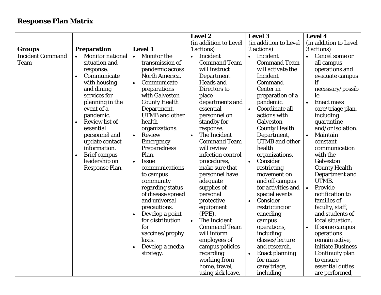#### **Response Plan Matrix**

|                         |           |                         |           |                       |           | Level 2               |           | <b>Level 3</b>        |           | <b>Level 4</b>        |
|-------------------------|-----------|-------------------------|-----------|-----------------------|-----------|-----------------------|-----------|-----------------------|-----------|-----------------------|
|                         |           |                         |           |                       |           | (in addition to Level |           | (in addition to Level |           | (in addition to Level |
| Groups                  |           | <b>Preparation</b>      |           | <b>Level 1</b>        |           | 1 actions)            |           | 2 actions)            |           | 3 actions)            |
| <b>Incident Command</b> | $\bullet$ | <b>Monitor national</b> | $\bullet$ | <b>Monitor the</b>    | $\bullet$ | Incident              | $\bullet$ | Incident              |           | Cancel some or        |
| <b>Team</b>             |           | situation and           |           | transmission of       |           | <b>Command Team</b>   |           | <b>Command Team</b>   |           | all campus            |
|                         |           | response.               |           | pandemic across       |           | will instruct         |           | will activate the     |           | operations and        |
|                         | $\bullet$ | Communicate             |           | North America.        |           | Department            |           | Incident              |           | evacuate campus       |
|                         |           | with housing            | $\bullet$ | Communicate           |           | <b>Heads and</b>      |           | Command               |           | if                    |
|                         |           | and dining              |           | preparations          |           | Directors to          |           | <b>Center</b> in      |           | necessary/possib      |
|                         |           | services for            |           | with Galveston        |           | place                 |           | preparation of a      |           | le.                   |
|                         |           | planning in the         |           | <b>County Health</b>  |           | departments and       |           | pandemic.             | $\bullet$ | <b>Enact mass</b>     |
|                         |           | event of a              |           | Department,           |           | essential             | $\bullet$ | Coordinate all        |           | care/triage plan,     |
|                         |           | pandemic.               |           | <b>UTMB</b> and other |           | personnel on          |           | actions with          |           | including             |
|                         | $\bullet$ | <b>Review list of</b>   |           | health                |           | standby for           |           | Galveston             |           | quarantine            |
|                         |           | essential               |           | organizations.        |           | response.             |           | <b>County Health</b>  |           | and/or isolation.     |
|                         |           | personnel and           | $\bullet$ | <b>Review</b>         | $\bullet$ | The Incident          |           | Department,           | $\bullet$ | Maintain              |
|                         |           | update contact          |           | <b>Emergency</b>      |           | <b>Command Team</b>   |           | <b>UTMB</b> and other |           | constant              |
|                         |           | information.            |           | Preparedness          |           | will review           |           | health                |           | communication         |
|                         |           | <b>Brief campus</b>     |           | Plan.                 |           | infection control     |           | organizations.        |           | with the              |
|                         |           | leadership on           | $\bullet$ | <b>Issue</b>          |           | procedures,           | $\bullet$ | Consider              |           | Galveston             |
|                         |           | Response Plan.          |           | communications        |           | make sure that        |           | restricting           |           | <b>County Health</b>  |
|                         |           |                         |           | to campus             |           | personnel have        |           | movement on           |           | Department and        |
|                         |           |                         |           | community             |           | adequate              |           | and off campus        |           | UTMB.                 |
|                         |           |                         |           | regarding status      |           | supplies of           |           | for activities and    | $\bullet$ | Provide               |
|                         |           |                         |           | of disease spread     |           | personal              |           | special events.       |           | notification to       |
|                         |           |                         |           | and universal         |           | protective            | $\bullet$ | Consider              |           | families of           |
|                         |           |                         |           | precautions.          |           | equipment             |           | restricting or        |           | faculty, staff,       |
|                         |           |                         | $\bullet$ | Develop a point       |           | $(PPE)$ .             |           | canceling             |           | and students of       |
|                         |           |                         |           | for distribution      | $\bullet$ | The Incident          |           | campus                |           | local situation.      |
|                         |           |                         |           | for                   |           | <b>Command Team</b>   |           | operations,           |           | If some campus        |
|                         |           |                         |           | vaccines/prophy       |           | will inform           |           | including             |           | operations            |
|                         |           |                         |           | laxis.                |           | employees of          |           | classes/lecture       |           | remain active,        |
|                         |           |                         |           | Develop a media       |           | campus policies       |           | and research.         |           | initiate Business     |
|                         |           |                         |           | strategy.             |           | regarding             | $\bullet$ | <b>Enact planning</b> |           | Continuity plan       |
|                         |           |                         |           |                       |           | working from          |           | for mass              |           | to ensure             |
|                         |           |                         |           |                       |           | home, travel,         |           | care/triage,          |           | essential duties      |
|                         |           |                         |           |                       |           | using sick leave,     |           | including             |           | are performed,        |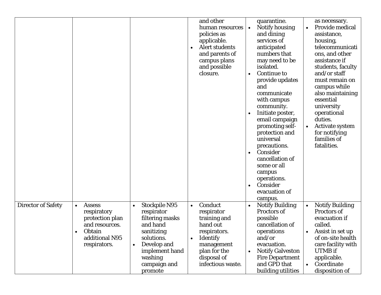|                           |                                                                                                                            |                                                                                                                                                                                   | and other<br>human resources<br>policies as<br>applicable.<br><b>Alert students</b><br>$\bullet$<br>and parents of<br>campus plans<br>and possible<br>closure.      | quarantine.<br>Notify housing<br>and dining<br>services of<br>anticipated<br>numbers that<br>may need to be<br>isolated.<br><b>Continue to</b><br>provide updates<br>and<br>communicate<br>with campus<br>community.<br>Initiate poster,<br>$\bullet$<br>email campaign<br>promoting self-<br>protection and<br>universal<br>precautions.<br>Consider<br>$\bullet$<br>cancellation of<br>some or all<br>campus<br>operations.<br>Consider<br>evacuation of<br>campus. | as necessary.<br>Provide medical<br>assistance,<br>housing,<br>telecommunicati<br>ons, and other<br>assistance if<br>students, faculty<br>and/or staff<br>must remain on<br>campus while<br>also maintaining<br>essential<br>university<br>operational<br>duties.<br><b>Activate system</b><br>for notifying<br>families of<br>fatalities. |
|---------------------------|----------------------------------------------------------------------------------------------------------------------------|-----------------------------------------------------------------------------------------------------------------------------------------------------------------------------------|---------------------------------------------------------------------------------------------------------------------------------------------------------------------|-----------------------------------------------------------------------------------------------------------------------------------------------------------------------------------------------------------------------------------------------------------------------------------------------------------------------------------------------------------------------------------------------------------------------------------------------------------------------|--------------------------------------------------------------------------------------------------------------------------------------------------------------------------------------------------------------------------------------------------------------------------------------------------------------------------------------------|
| <b>Director of Safety</b> | <b>Assess</b><br>$\bullet$<br>respiratory<br>protection plan<br>and resources.<br>Obtain<br>additional N95<br>respirators. | <b>Stockpile N95</b><br>respirator<br>filtering masks<br>and hand<br>sanitizing<br>solutions.<br>Develop and<br>$\bullet$<br>implement hand<br>washing<br>campaign and<br>promote | Conduct<br>$\bullet$<br>respirator<br>training and<br>hand out<br>respirators.<br><b>Identify</b><br>management<br>plan for the<br>disposal of<br>infectious waste. | <b>Notify Building</b><br>$\bullet$<br>Proctors of<br>possible<br>cancellation of<br>operations<br>and/or<br>evacuation.<br><b>Notify Galveston</b><br>$\bullet$<br><b>Fire Department</b><br>and GPD that<br>building utilities                                                                                                                                                                                                                                      | <b>Notify Building</b><br>Proctors of<br>evacuation if<br>called.<br>Assist in set up<br>of on-site health<br>care facility with<br><b>UTMB</b> if<br>applicable.<br>Coordinate<br>disposition of                                                                                                                                          |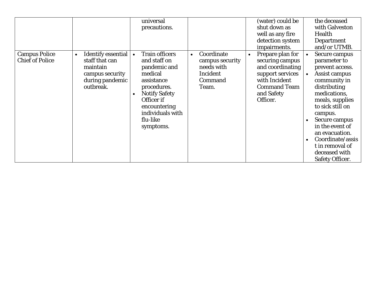|                                                |                                                                                                                         | universal<br>precautions.                                                                                                                                                                                     |                                                                                          | (water) could be<br>shut down as<br>well as any fire<br>detection system<br>impairments.                                                      | the deceased<br>with Galveston<br>Health<br>Department<br>and/or UTMB.                                                                                                                                                                                                                                             |
|------------------------------------------------|-------------------------------------------------------------------------------------------------------------------------|---------------------------------------------------------------------------------------------------------------------------------------------------------------------------------------------------------------|------------------------------------------------------------------------------------------|-----------------------------------------------------------------------------------------------------------------------------------------------|--------------------------------------------------------------------------------------------------------------------------------------------------------------------------------------------------------------------------------------------------------------------------------------------------------------------|
| <b>Campus Police</b><br><b>Chief of Police</b> | <b>Identify essential</b><br>$\bullet$<br>staff that can<br>maintain<br>campus security<br>during pandemic<br>outbreak. | <b>Train officers</b><br>and staff on<br>pandemic and<br>medical<br>assistance<br>procedures.<br><b>Notify Safety</b><br>$\bullet$<br>Officer if<br>encountering<br>individuals with<br>flu-like<br>symptoms. | Coordinate<br>$\bullet$<br>campus security<br>needs with<br>Incident<br>Command<br>Team. | Prepare plan for<br>securing campus<br>and coordinating<br>support services<br>with Incident<br><b>Command Team</b><br>and Safety<br>Officer. | Secure campus<br>parameter to<br>prevent access.<br><b>Assist campus</b><br>community in<br>distributing<br>medications,<br>meals, supplies<br>to sick still on<br>campus.<br>Secure campus<br>in the event of<br>an evacuation.<br>Coordinate/assis<br>t in removal of<br>deceased with<br><b>Safety Officer.</b> |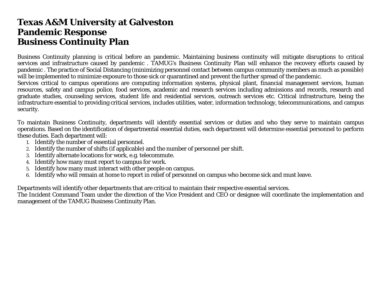#### **Texas A&M University at Galveston Pandemic Response Business Continuity Plan**

Business Continuity planning is critical before an pandemic. Maintaining business continuity will mitigate disruptions to critical services and infrastructure caused by pandemic . TAMUG's Business Continuity Plan will enhance the recovery efforts caused by pandemic . The practice of Social Distancing (minimizing personnel contact between campus community members as much as possible) will be implemented to minimize exposure to those sick or quarantined and prevent the further spread of the pandemic.

Services critical to campus operations are computing information systems, physical plant, financial management services, human resources, safety and campus police, food services, academic and research services including admissions and records, research and graduate studies, counseling services, student life and residential services, outreach services etc. Critical infrastructure, being the infrastructure essential to providing critical services, includes utilities, water, information technology, telecommunications, and campus security.

To maintain Business Continuity, departments will identify essential services or duties and who they serve to maintain campus operations. Based on the identification of departmental essential duties, each department will determine essential personnel to perform these duties. Each department will:

- 1. Identify the number of essential personnel.
- 2. Identify the number of shifts (if applicable) and the number of personnel per shift.
- 3. Identify alternate locations for work, e.g. telecommute.
- 4. Identify how many must report to campus for work.
- 5. Identify how many must interact with other people on campus.
- 6. Identify who will remain at home to report in relief of personnel on campus who become sick and must leave.

Departments will identify other departments that are critical to maintain their respective essential services.

The Incident Command Team under the direction of the Vice President and CEO or designee will coordinate the implementation and management of the TAMUG Business Continuity Plan.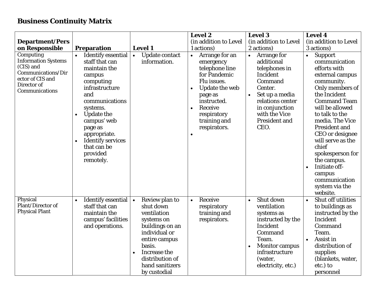#### **Business Continuity Matrix**

|                                                                                                                                 |                                                                                                                                                                                                                                                                                                        |                                                                                                                                                                                                            | <b>Level 2</b>                                                                                                                                                                                                                         | <b>Level 3</b>                                                                                                                                                                                                  | <b>Level 4</b>                                                                                                                                                                                                                                                                                                                                                                                                     |
|---------------------------------------------------------------------------------------------------------------------------------|--------------------------------------------------------------------------------------------------------------------------------------------------------------------------------------------------------------------------------------------------------------------------------------------------------|------------------------------------------------------------------------------------------------------------------------------------------------------------------------------------------------------------|----------------------------------------------------------------------------------------------------------------------------------------------------------------------------------------------------------------------------------------|-----------------------------------------------------------------------------------------------------------------------------------------------------------------------------------------------------------------|--------------------------------------------------------------------------------------------------------------------------------------------------------------------------------------------------------------------------------------------------------------------------------------------------------------------------------------------------------------------------------------------------------------------|
| <b>Department/Pers</b>                                                                                                          |                                                                                                                                                                                                                                                                                                        |                                                                                                                                                                                                            | (in addition to Level                                                                                                                                                                                                                  | (in addition to Level                                                                                                                                                                                           | (in addition to Level                                                                                                                                                                                                                                                                                                                                                                                              |
| on Responsible                                                                                                                  | <b>Preparation</b>                                                                                                                                                                                                                                                                                     | <b>Level 1</b>                                                                                                                                                                                             | 1 actions)                                                                                                                                                                                                                             | 2 actions)                                                                                                                                                                                                      | 3 actions)                                                                                                                                                                                                                                                                                                                                                                                                         |
| Computing<br><b>Information Systems</b><br>(CIS) and<br>Communications/Dir<br>ector of CIS and<br>Director of<br>Communications | <b>Identify essential</b><br>$\bullet$<br>staff that can<br>maintain the<br>campus<br>computing<br>infrastructure<br>and<br>communications<br>systems.<br><b>Update the</b><br>$\bullet$<br>campus' web<br>page as<br>appropriate.<br><b>Identify services</b><br>that can be<br>provided<br>remotely. | <b>Update contact</b><br>$\bullet$<br>information.                                                                                                                                                         | Arrange for an<br>$\bullet$<br>emergency<br>telephone line<br>for Pandemic<br>Flu issues.<br>Update the web<br>$\bullet$<br>page as<br>instructed.<br>Receive<br>$\bullet$<br>respiratory<br>training and<br>respirators.<br>$\bullet$ | Arrange for<br>$\bullet$<br>additional<br>telephones in<br>Incident<br>Command<br>Center.<br>Set up a media<br>$\bullet$<br>relations center<br>in conjunction<br>with the Vice<br><b>President and</b><br>CEO. | <b>Support</b><br>$\bullet$<br>communication<br>efforts with<br>external campus<br>community.<br>Only members of<br>the Incident<br><b>Command Team</b><br>will be allowed<br>to talk to the<br>media. The Vice<br><b>President and</b><br>CEO or designee<br>will serve as the<br>chief<br>spokesperson for<br>the campus.<br>Initiate off-<br>$\bullet$<br>campus<br>communication<br>system via the<br>website. |
| Physical<br>Plant/Director of<br><b>Physical Plant</b>                                                                          | Identify essential $\vert \cdot \vert$<br>$\bullet$<br>staff that can<br>maintain the<br>campus' facilities<br>and operations.                                                                                                                                                                         | Review plan to<br>shut down<br>ventilation<br>systems on<br>buildings on an<br>individual or<br>entire campus<br>basis.<br>Increase the<br>$\bullet$<br>distribution of<br>hand sanitizers<br>by custodial | Receive<br>$\bullet$<br>respiratory<br>training and<br>respirators.                                                                                                                                                                    | Shut down<br>$\bullet$<br>ventilation<br>systems as<br>instructed by the<br>Incident<br>Command<br>Team.<br><b>Monitor campus</b><br>$\bullet$<br>infrastructure<br>(water,<br>electricity, etc.)               | Shut off utilities<br>$\bullet$<br>to buildings as<br>instructed by the<br>Incident<br>Command<br>Team.<br>Assist in<br>$\bullet$<br>distribution of<br>supplies<br>(blankets, water,<br>etc.) to<br>personnel                                                                                                                                                                                                     |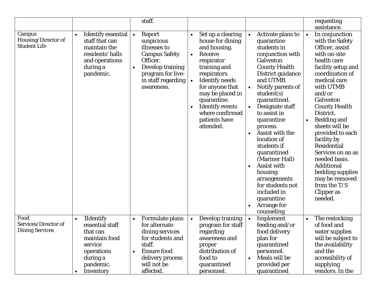|                                                        |                                                                                                                                       | staff.                                                                                                                                                                            |                                                                                                                                                                                                                                                                                                                 |                                                                                                                                                                                                                                                                                                                                                                                                                                                                                                                                                          | requesting<br>assistance.                                                                                                                                                                                                                                                                                                                                                                                                                                                                  |
|--------------------------------------------------------|---------------------------------------------------------------------------------------------------------------------------------------|-----------------------------------------------------------------------------------------------------------------------------------------------------------------------------------|-----------------------------------------------------------------------------------------------------------------------------------------------------------------------------------------------------------------------------------------------------------------------------------------------------------------|----------------------------------------------------------------------------------------------------------------------------------------------------------------------------------------------------------------------------------------------------------------------------------------------------------------------------------------------------------------------------------------------------------------------------------------------------------------------------------------------------------------------------------------------------------|--------------------------------------------------------------------------------------------------------------------------------------------------------------------------------------------------------------------------------------------------------------------------------------------------------------------------------------------------------------------------------------------------------------------------------------------------------------------------------------------|
| Campus<br>Housing/Director of<br><b>Student Life</b>   | Identify essential<br>$\bullet$<br>staff that can<br>maintain the<br>residents' halls<br>and operations<br>during a<br>pandemic.      | Report<br>$\bullet$<br>suspicious<br>illnesses to<br><b>Campus Safety</b><br>Officer.<br>Develop training<br>$\bullet$<br>program for live-<br>in staff regarding<br>awareness.   | Set up a clearing<br>$\bullet$<br>house for dining<br>and housing.<br>Receive<br>$\bullet$<br>respirator<br>training and<br>respirators.<br><b>Identify needs</b><br>$\bullet$<br>for anyone that<br>may be placed in<br>quarantine.<br><b>Identify events</b><br>where confirmed<br>patients have<br>attended. | Activate plans to<br>$\bullet$<br>quarantine<br>students in<br>conjunction with<br><b>Galveston</b><br><b>County Health</b><br>District guidance<br>and UTMB.<br>Notify parents of<br>$\bullet$<br>student(s)<br>quarantined.<br>Designate staff<br>$\bullet$<br>to assist in<br>quarantine<br>process.<br>Assist with the<br>$\bullet$<br>location of<br>students if<br>quarantined<br>(Mariner Hall)<br>Assist with<br>$\bullet$<br>housing<br>arrangements<br>for students not<br>included in<br>quarantine<br>Arrange for<br>$\bullet$<br>counseling | In conjunction<br>$\bullet$<br>with the Safety<br>Officer, assist<br>with on-site<br>health care<br>facility setup and<br>coordination of<br>medical care<br>with UTMB<br>and/or<br>Galveston<br><b>County Health</b><br>District.<br><b>Bedding and</b><br>$\bullet$<br>sheets will be<br>provided to each<br>facility by<br><b>Residential</b><br>Services on an as<br>needed basis.<br><b>Additional</b><br>bedding supplies<br>may be removed<br>from the T/S<br>Clipper as<br>needed. |
| Food<br>Services/Director of<br><b>Dining Services</b> | 1Identify<br>$\bullet$<br>essential staff<br>that can<br>maintain food<br>service<br>operations<br>during a<br>pandemic.<br>Inventory | Formulate plans<br>$\bullet$<br>for alternate<br>dining services<br>for students and<br>staff.<br><b>Ensure food</b><br>$\bullet$<br>delivery process<br>will not be<br>affected. | Develop training<br>$\bullet$<br>program for staff<br>regarding<br>awareness and<br>proper<br>distribution of<br>food to<br>quarantined<br>personnel.                                                                                                                                                           | Implement<br>$\bullet$<br>feeding and/or<br>food delivery<br>plan for<br>quarantined<br>personnel.<br>Meals will be<br>$\bullet$<br>provided per<br>quarantined                                                                                                                                                                                                                                                                                                                                                                                          | The restocking<br>of food and<br>water supplies<br>will be subject to<br>the availability<br>and the<br>accessibility of<br>supplying<br>vendors. In the                                                                                                                                                                                                                                                                                                                                   |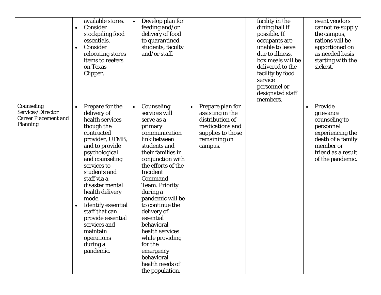| $\bullet$<br>$\bullet$                                                     | available stores.<br>Consider<br>stockpiling food<br>essentials.<br>Consider<br>relocating stores<br>items to reefers<br>on Texas<br>Clipper.                                                                                                                                                                                                                                             | Develop plan for<br>$\bullet$<br>feeding and/or<br>delivery of food<br>to quarantined<br>students, faculty<br>and/or staff.                                                                                                                                                                                                                                                                                                                      |                                                                                                                                         | facility in the<br>dining hall if<br>possible. If<br>occupants are<br>unable to leave<br>due to illness,<br>box meals will be<br>delivered to the<br>facility by food<br>service<br>personnel or<br>designated staff<br>members. | event vendors<br>cannot re-supply<br>the campus,<br>rations will be<br>apportioned on<br>as needed basis<br>starting with the<br>sickest.                       |
|----------------------------------------------------------------------------|-------------------------------------------------------------------------------------------------------------------------------------------------------------------------------------------------------------------------------------------------------------------------------------------------------------------------------------------------------------------------------------------|--------------------------------------------------------------------------------------------------------------------------------------------------------------------------------------------------------------------------------------------------------------------------------------------------------------------------------------------------------------------------------------------------------------------------------------------------|-----------------------------------------------------------------------------------------------------------------------------------------|----------------------------------------------------------------------------------------------------------------------------------------------------------------------------------------------------------------------------------|-----------------------------------------------------------------------------------------------------------------------------------------------------------------|
| Counseling<br>Services/Director<br><b>Career Placement and</b><br>Planning | Prepare for the<br>delivery of<br>health services<br>though the<br>contracted<br>provider, UTMB,<br>and to provide<br>psychological<br>and counseling<br>services to<br>students and<br>staff via a<br>disaster mental<br>health delivery<br>mode.<br><b>Identify essential</b><br>staff that can<br>provide essential<br>services and<br>maintain<br>operations<br>during a<br>pandemic. | Counseling<br>$\bullet$<br>services will<br>serve as a<br>primary<br>communication<br>link between<br>students and<br>their families in<br>conjunction with<br>the efforts of the<br>Incident<br>Command<br><b>Team. Priority</b><br>during a<br>pandemic will be<br>to continue the<br>delivery of<br>essential<br>behavioral<br>health services<br>while providing<br>for the<br>emergency<br>behavioral<br>health needs of<br>the population. | Prepare plan for<br>$\bullet$<br>assisting in the<br>distribution of<br>medications and<br>supplies to those<br>remaining on<br>campus. |                                                                                                                                                                                                                                  | Provide<br>$\bullet$<br>grievance<br>counseling to<br>personnel<br>experiencing the<br>death of a family<br>member or<br>friend as a result<br>of the pandemic. |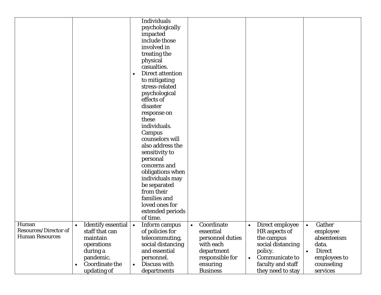|                                                                 |                                                                                                                                                   | <b>Individuals</b><br>psychologically<br>impacted<br>include those<br>involved in<br>treating the<br>physical<br>casualties.<br><b>Direct attention</b><br>to mitigating<br>stress-related<br>psychological<br>effects of<br>disaster<br>response on<br>these<br>individuals.<br>Campus<br>counselors will<br>also address the<br>sensitivity to<br>personal<br>concerns and<br>obligations when<br>individuals may<br>be separated<br>from their |                                                                                                                    |                                                                                                                                                 |                                                                                                                     |
|-----------------------------------------------------------------|---------------------------------------------------------------------------------------------------------------------------------------------------|---------------------------------------------------------------------------------------------------------------------------------------------------------------------------------------------------------------------------------------------------------------------------------------------------------------------------------------------------------------------------------------------------------------------------------------------------|--------------------------------------------------------------------------------------------------------------------|-------------------------------------------------------------------------------------------------------------------------------------------------|---------------------------------------------------------------------------------------------------------------------|
|                                                                 |                                                                                                                                                   |                                                                                                                                                                                                                                                                                                                                                                                                                                                   |                                                                                                                    |                                                                                                                                                 |                                                                                                                     |
|                                                                 |                                                                                                                                                   | families and<br>loved ones for<br>extended periods<br>of time.                                                                                                                                                                                                                                                                                                                                                                                    |                                                                                                                    |                                                                                                                                                 |                                                                                                                     |
| Human<br><b>Resources/Director of</b><br><b>Human Resources</b> | <b>Identify essential</b><br>$\bullet$<br>staff that can<br>maintain<br>operations<br>during a<br>pandemic.<br><b>Coordinate the</b><br>$\bullet$ | Inform campus<br>$\bullet$<br>of policies for<br>telecommuting,<br>social distancing<br>and essential<br>personnel.<br>Discuss with<br>$\bullet$                                                                                                                                                                                                                                                                                                  | Coordinate<br>$\bullet$<br>essential<br>personnel duties<br>with each<br>department<br>responsible for<br>ensuring | Direct employee<br>$\bullet$<br>HR aspects of<br>the campus<br>social distancing<br>policy.<br>Communicate to<br>$\bullet$<br>faculty and staff | Gather<br>$\bullet$<br>employee<br>absenteeism<br>data.<br><b>Direct</b><br>$\bullet$<br>employees to<br>counseling |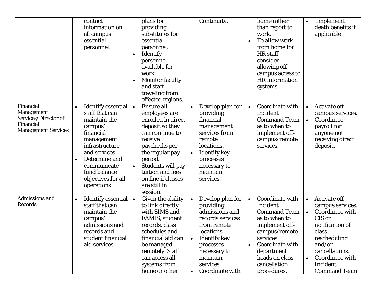|                                                                                            | contact<br>information on<br>all campus<br>essential<br>personnel.                                                                                                                                                                                  | plans for<br>providing<br>substitutes for<br>essential<br>personnel.<br><b>Identify</b><br>personnel<br>available for<br>work.<br><b>Monitor faculty</b><br>and staff<br>traveling from<br>effected regions.                                                                  | Continuity.                                                                                                                                                                                                                | home rather<br>than report to<br>work.<br>To allow work<br>$\bullet$<br>from home for<br>HR staff,<br>consider<br>allowing off-<br>campus access to<br><b>HR</b> information<br>systems.                           | Implement<br>$\bullet$<br>death benefits if<br>applicable                                                                                                                                                              |
|--------------------------------------------------------------------------------------------|-----------------------------------------------------------------------------------------------------------------------------------------------------------------------------------------------------------------------------------------------------|-------------------------------------------------------------------------------------------------------------------------------------------------------------------------------------------------------------------------------------------------------------------------------|----------------------------------------------------------------------------------------------------------------------------------------------------------------------------------------------------------------------------|--------------------------------------------------------------------------------------------------------------------------------------------------------------------------------------------------------------------|------------------------------------------------------------------------------------------------------------------------------------------------------------------------------------------------------------------------|
| Financial<br>Management<br>Services/Director of<br>Financial<br><b>Management Services</b> | <b>Identify essential</b><br>$\bullet$<br>staff that can<br>maintain the<br>campus'<br>financial<br>management<br>infrastructure<br>and services.<br>Determine and<br>$\bullet$<br>communicate<br>fund balance<br>objectives for all<br>operations. | <b>Ensure all</b><br>$\bullet$<br>employees are<br>enrolled in direct<br>deposit so they<br>can continue to<br>receive<br>paychecks per<br>the regular pay<br>period.<br>Students will pay<br>$\bullet$<br>tuition and fees<br>on line if classes<br>are still in<br>session. | Develop plan for<br>$\bullet$<br>providing<br>financial<br>management<br>services from<br>remote<br>locations.<br><b>Identify key</b><br>processes<br>necessary to<br>maintain<br>services.                                | Coordinate with<br>Incident<br><b>Command Team</b><br>as to when to<br>implement off-<br>campus/remote<br>services.                                                                                                | Activate off-<br>$\bullet$<br>campus services.<br>Coordinate<br>$\bullet$<br>payroll for<br>anyone not<br>receiving direct<br>deposit.                                                                                 |
| <b>Admissions and</b><br><b>Records</b>                                                    | <b>Identify essential</b><br>$\bullet$<br>staff that can<br>maintain the<br>campus'<br>admissions and<br>records and<br>student financial<br>aid services.                                                                                          | <b>Given the ability</b><br>$\bullet$<br>to link directly<br>with SIMS and<br><b>FAMIS</b> , student<br>records, class<br>schedules and<br>financial aid can<br>be managed<br>remotely. Staff<br>can access all<br>systems from<br>home or other                              | Develop plan for<br>$\bullet$<br>providing<br>admissions and<br>records services<br>from remote<br>locations.<br><b>Identify key</b><br>$\bullet$<br>processes<br>necessary to<br>maintain<br>services.<br>Coordinate with | Coordinate with<br>$\bullet$<br>Incident<br><b>Command Team</b><br>as to when to<br>implement off-<br>campus/remote<br>services.<br>Coordinate with<br>department<br>heads on class<br>cancellation<br>procedures. | Activate off-<br>$\bullet$<br>campus services.<br>Coordinate with<br>$\bullet$<br>CIS on<br>notification of<br>class<br>rescheduling<br>and/or<br>cancellations.<br>Coordinate with<br>Incident<br><b>Command Team</b> |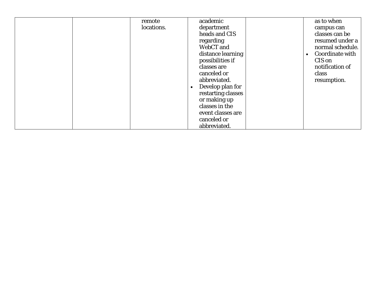| remote     | academic           | as to when       |
|------------|--------------------|------------------|
| locations. | department         | campus can       |
|            | heads and CIS      | classes can be   |
|            | regarding          | resumed under a  |
|            | WebCT and          | normal schedule. |
|            | distance learning  | Coordinate with  |
|            | possibilities if   | CIS on           |
|            | classes are        | notification of  |
|            | canceled or        | class            |
|            | abbreviated.       | resumption.      |
|            | Develop plan for   |                  |
|            | restarting classes |                  |
|            | or making up       |                  |
|            | classes in the     |                  |
|            | event classes are  |                  |
|            | canceled or        |                  |
|            | abbreviated.       |                  |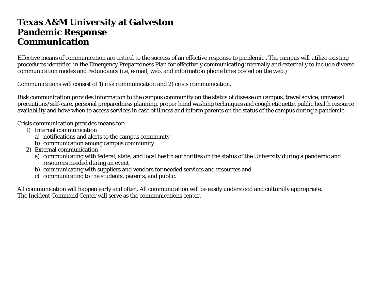#### **Texas A&M University at Galveston Pandemic Response Communication**

Effective means of communication are critical to the success of an effective response to pandemic . The campus will utilize existing procedures identified in the Emergency Preparedness Plan for effectively communicating internally and externally to include diverse communication modes and redundancy (i.e, e-mail, web, and information phone lines posted on the web.)

Communications will consist of 1) risk communication and 2) crisis communication.

Risk communication provides information to the campus community on the status of disease on campus, travel advice, universal precautions/self-care, personal preparedness planning, proper hand washing techniques and cough etiquette, public health resource availability and how/when to access services in case of illness and inform parents on the status of the campus during a pandemic.

Crisis communication provides means for:

- 1) Internal communication
	- a) notifications and alerts to the campus community
	- b) communication among campus community
- 2) External communication
	- a) communicating with federal, state, and local health authorities on the status of the University during a pandemic and resources needed during an event
	- b) communicating with suppliers and vendors for needed services and resources and
	- c) communicating to the students, parents, and public.

All communication will happen early and often. All communication will be easily understood and culturally appropriate. The Incident Command Center will serve as the communications center.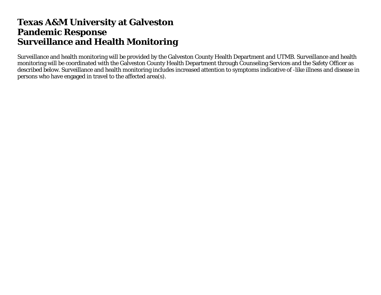## **Texas A&M University at Galveston Pandemic Response Surveillance and Health Monitoring**

Surveillance and health monitoring will be provided by the Galveston County Health Department and UTMB. Surveillance and health monitoring will be coordinated with the Galveston County Health Department through Counseling Services and the Safety Officer as described below. Surveillance and health monitoring includes increased attention to symptoms indicative of -like illness and disease in persons who have engaged in travel to the affected area(s).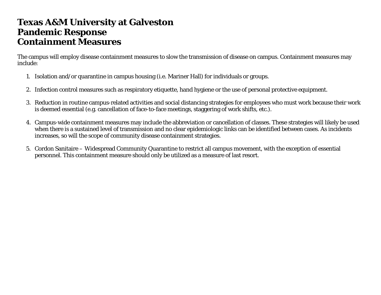#### **Texas A&M University at Galveston Pandemic Response Containment Measures**

The campus will employ disease containment measures to slow the transmission of disease on campus. Containment measures may include:

- 1. Isolation and/or quarantine in campus housing (i.e. Mariner Hall) for individuals or groups.
- 2. Infection control measures such as respiratory etiquette, hand hygiene or the use of personal protective equipment.
- 3. Reduction in routine campus-related activities and social distancing strategies for employees who must work because their work is deemed essential (e.g. cancellation of face-to-face meetings, staggering of work shifts, etc.).
- 4. Campus-wide containment measures may include the abbreviation or cancellation of classes. These strategies will likely be used when there is a sustained level of transmission and no clear epidemiologic links can be identified between cases. As incidents increases, so will the scope of community disease containment strategies.
- 5. Cordon Sanitaire Widespread Community Quarantine to restrict all campus movement, with the exception of essential personnel. This containment measure should only be utilized as a measure of last resort.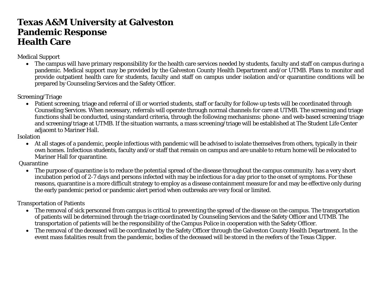## **Texas A&M University at Galveston Pandemic Response Health Care**

Medical Support

• The campus will have primary responsibility for the health care services needed by students, faculty and staff on campus during a pandemic. Medical support may be provided by the Galveston County Health Department and/or UTMB. Plans to monitor and provide outpatient health care for students, faculty and staff on campus under isolation and/or quarantine conditions will be prepared by Counseling Services and the Safety Officer.

Screening/Triage

• Patient screening, triage and referral of ill or worried students, staff or faculty for follow-up tests will be coordinated through Counseling Services. When necessary, referrals will operate through normal channels for care at UTMB. The screening and triage functions shall be conducted, using standard criteria, through the following mechanisms: phone- and web-based screening/triage and screening/triage at UTMB. If the situation warrants, a mass screening/triage will be established at The Student Life Center adjacent to Mariner Hall.

Isolation

• At all stages of a pandemic, people infectious with pandemic will be advised to isolate themselves from others, typically in their own homes. Infectious students, faculty and/or staff that remain on campus and are unable to return home will be relocated to Mariner Hall for quarantine.

Quarantine

• The purpose of quarantine is to reduce the potential spread of the disease throughout the campus community. has a very short incubation period of 2-7 days and persons infected with may be infectious for a day prior to the onset of symptoms. For these reasons, quarantine is a more difficult strategy to employ as a disease containment measure for and may be effective only during the early pandemic period or pandemic alert period when outbreaks are very focal or limited.

Transportation of Patients

- The removal of sick personnel from campus is critical to preventing the spread of the disease on the campus. The transportation of patients will be determined through the triage coordinated by Counseling Services and the Safety Officer and UTMB. The transportation of patients will be the responsibility of the Campus Police in cooperation with the Safety Officer.
- The removal of the deceased will be coordinated by the Safety Officer through the Galveston County Health Department. In the event mass fatalities result from the pandemic, bodies of the deceased will be stored in the reefers of the Texas Clipper.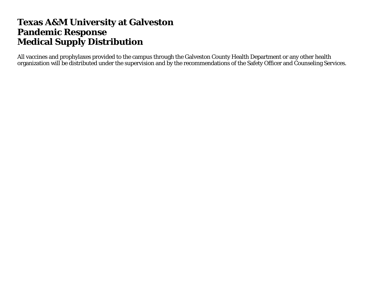## **Texas A&M University at Galveston Pandemic Response Medical Supply Distribution**

All vaccines and prophylaxes provided to the campus through the Galveston County Health Department or any other health organization will be distributed under the supervision and by the recommendations of the Safety Officer and Counseling Services.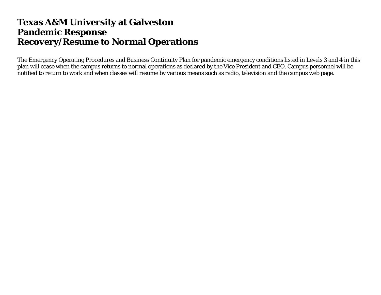#### **Texas A&M University at Galveston Pandemic Response Recovery/Resume to Normal Operations**

The Emergency Operating Procedures and Business Continuity Plan for pandemic emergency conditions listed in Levels 3 and 4 in this plan will cease when the campus returns to normal operations as declared by the Vice President and CEO. Campus personnel will be notified to return to work and when classes will resume by various means such as radio, television and the campus web page.